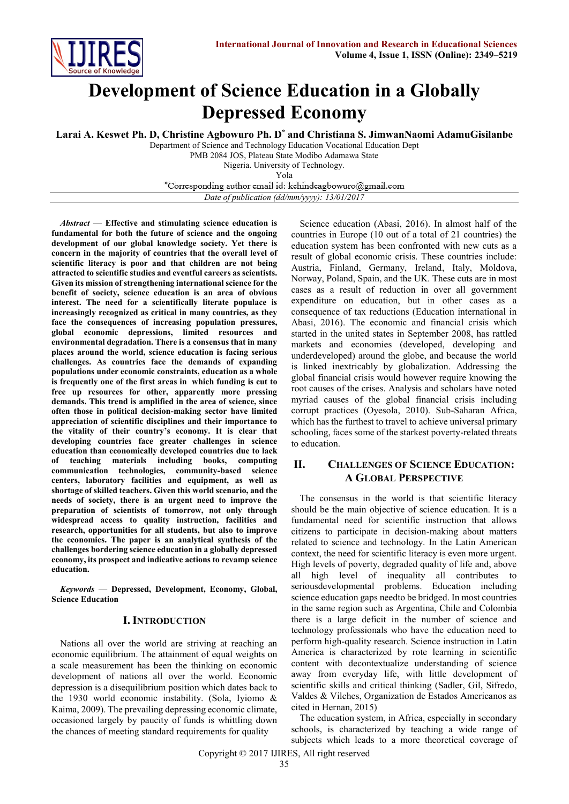

# **Development of Science Education in a Globally Depressed Economy**

**Larai A. Keswet Ph. D, Christine Agbowuro Ph. D\* and Christiana S. JimwanNaomi AdamuGisilanbe**

Department of Science and Technology Education Vocational Education Dept

PMB 2084 JOS, Plateau State Modibo Adamawa State

Nigeria. University of Technology. Yola

\*Corresponding author email id: kehindeagbowuro@gmail.com

*Date of publication (dd/mm/yyyy): 13/01/2017*

*Abstract* — **Effective and stimulating science education is fundamental for both the future of science and the ongoing development of our global knowledge society. Yet there is concern in the majority of countries that the overall level of scientific literacy is poor and that children are not being attracted to scientific studies and eventful careers as scientists. Given its mission of strengthening international science for the benefit of society, science education is an area of obvious interest. The need for a scientifically literate populace is increasingly recognized as critical in many countries, as they face the consequences of increasing population pressures, global economic depressions, limited resources and environmental degradation. There is a consensus that in many places around the world, science education is facing serious challenges. As countries face the demands of expanding populations under economic constraints, education as a whole is frequently one of the first areas in which funding is cut to free up resources for other, apparently more pressing demands. This trend is amplified in the area of science, since often those in political decision-making sector have limited appreciation of scientific disciplines and their importance to the vitality of their country's economy. It is clear that developing countries face greater challenges in science education than economically developed countries due to lack of teaching materials including books, computing communication technologies, community-based science centers, laboratory facilities and equipment, as well as shortage of skilled teachers. Given this world scenario, and the needs of society, there is an urgent need to improve the preparation of scientists of tomorrow, not only through widespread access to quality instruction, facilities and research, opportunities for all students, but also to improve the economies. The paper is an analytical synthesis of the challenges bordering science education in a globally depressed economy, its prospect and indicative actions to revamp science education.**

*Keywords* — **Depressed, Development, Economy, Global, Science Education**

#### **I. INTRODUCTION**

Nations all over the world are striving at reaching an economic equilibrium. The attainment of equal weights on a scale measurement has been the thinking on economic development of nations all over the world. Economic depression is a disequilibrium position which dates back to the 1930 world economic instability. (Sola, Iyiomo & Kaima, 2009). The prevailing depressing economic climate, occasioned largely by paucity of funds is whittling down the chances of meeting standard requirements for quality

Science education (Abasi, 2016). In almost half of the countries in Europe (10 out of a total of 21 countries) the education system has been confronted with new cuts as a result of global economic crisis. These countries include: Austria, Finland, Germany, Ireland, Italy, Moldova, Norway, Poland, Spain, and the UK. These cuts are in most cases as a result of reduction in over all government expenditure on education, but in other cases as a consequence of tax reductions (Education international in Abasi, 2016). The economic and financial crisis which started in the united states in September 2008, has rattled markets and economies (developed, developing and underdeveloped) around the globe, and because the world is linked inextricably by globalization. Addressing the global financial crisis would however require knowing the root causes of the crises. Analysis and scholars have noted myriad causes of the global financial crisis including corrupt practices (Oyesola, 2010). Sub-Saharan Africa, which has the furthest to travel to achieve universal primary schooling, faces some of the starkest poverty-related threats to education.

## **II. CHALLENGES OF SCIENCE EDUCATION: A GLOBAL PERSPECTIVE**

The consensus in the world is that scientific literacy should be the main objective of science education. It is a fundamental need for scientific instruction that allows citizens to participate in decision-making about matters related to science and technology. In the Latin American context, the need for scientific literacy is even more urgent. High levels of poverty, degraded quality of life and, above all high level of inequality all contributes to seriousdevelopmental problems. Education including science education gaps needto be bridged. In most countries in the same region such as Argentina, Chile and Colombia there is a large deficit in the number of science and technology professionals who have the education need to perform high-quality research. Science instruction in Latin America is characterized by rote learning in scientific content with decontextualize understanding of science away from everyday life, with little development of scientific skills and critical thinking (Sadler, Gil, Sifredo, Valdes & Vilches, Organization de Estados Americanos as cited in Hernan, 2015)

The education system, in Africa, especially in secondary schools, is characterized by teaching a wide range of subjects which leads to a more theoretical coverage of

Copyright © 2017 IJIRES, All right reserved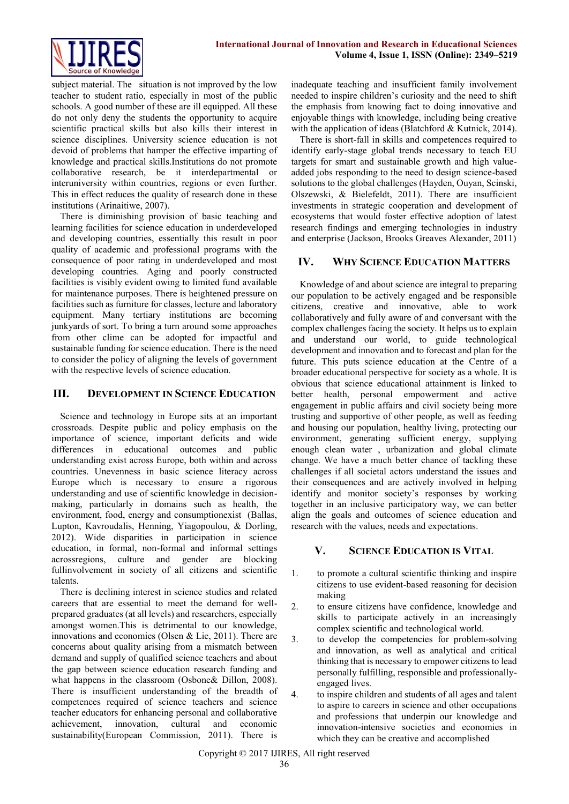subject material. The situation is not improved by the low teacher to student ratio, especially in most of the public schools. A good number of these are ill equipped. All these do not only deny the students the opportunity to acquire scientific practical skills but also kills their interest in science disciplines. University science education is not devoid of problems that hamper the effective imparting of knowledge and practical skills.Institutions do not promote collaborative research, be it interdepartmental or interuniversity within countries, regions or even further. This in effect reduces the quality of research done in these institutions (Arinaitiwe, 2007).

There is diminishing provision of basic teaching and learning facilities for science education in underdeveloped and developing countries, essentially this result in poor quality of academic and professional programs with the consequence of poor rating in underdeveloped and most developing countries. Aging and poorly constructed facilities is visibly evident owing to limited fund available for maintenance purposes. There is heightened pressure on facilities such as furniture for classes, lecture and laboratory equipment. Many tertiary institutions are becoming junkyards of sort. To bring a turn around some approaches from other clime can be adopted for impactful and sustainable funding for science education. There is the need to consider the policy of aligning the levels of government with the respective levels of science education.

#### **III. DEVELOPMENT IN SCIENCE EDUCATION**

Science and technology in Europe sits at an important crossroads. Despite public and policy emphasis on the importance of science, important deficits and wide differences in educational outcomes and public understanding exist across Europe, both within and across countries. Unevenness in basic science literacy across Europe which is necessary to ensure a rigorous understanding and use of scientific knowledge in decisionmaking, particularly in domains such as health, the environment, food, energy and consumptionexist (Ballas, Lupton, Kavroudalis, Henning, Yiagopoulou, & Dorling, 2012). Wide disparities in participation in science education, in formal, non-formal and informal settings acrossregions, culture and gender are blocking fullinvolvement in society of all citizens and scientific talents.

There is declining interest in science studies and related careers that are essential to meet the demand for wellprepared graduates (at all levels) and researchers, especially amongst women.This is detrimental to our knowledge, innovations and economies (Olsen & Lie, 2011). There are concerns about quality arising from a mismatch between demand and supply of qualified science teachers and about the gap between science education research funding and what happens in the classroom (Osbone& Dillon, 2008). There is insufficient understanding of the breadth of competences required of science teachers and science teacher educators for enhancing personal and collaborative achievement, innovation, cultural and economic sustainability(European Commission, 2011). There is

inadequate teaching and insufficient family involvement needed to inspire children's curiosity and the need to shift the emphasis from knowing fact to doing innovative and enjoyable things with knowledge, including being creative with the application of ideas (Blatchford & Kutnick, 2014).

There is short-fall in skills and competences required to identify early-stage global trends necessary to teach EU targets for smart and sustainable growth and high valueadded jobs responding to the need to design science-based solutions to the global challenges (Hayden, Ouyan, Scinski, Olszewski, & Bielefeldt, 2011). There are insufficient investments in strategic cooperation and development of ecosystems that would foster effective adoption of latest research findings and emerging technologies in industry and enterprise (Jackson, Brooks Greaves Alexander, 2011)

## **IV. WHY SCIENCE EDUCATION MATTERS**

Knowledge of and about science are integral to preparing our population to be actively engaged and be responsible citizens, creative and innovative, able to work collaboratively and fully aware of and conversant with the complex challenges facing the society. It helps us to explain and understand our world, to guide technological development and innovation and to forecast and plan for the future. This puts science education at the Centre of a broader educational perspective for society as a whole. It is obvious that science educational attainment is linked to better health, personal empowerment and active engagement in public affairs and civil society being more trusting and supportive of other people, as well as feeding and housing our population, healthy living, protecting our environment, generating sufficient energy, supplying enough clean water , urbanization and global climate change. We have a much better chance of tackling these challenges if all societal actors understand the issues and their consequences and are actively involved in helping identify and monitor society's responses by working together in an inclusive participatory way, we can better align the goals and outcomes of science education and research with the values, needs and expectations.

#### **V. SCIENCE EDUCATION IS VITAL**

- 1. to promote a cultural scientific thinking and inspire citizens to use evident-based reasoning for decision making
- 2. to ensure citizens have confidence, knowledge and skills to participate actively in an increasingly complex scientific and technological world.
- 3. to develop the competencies for problem-solving and innovation, as well as analytical and critical thinking that is necessary to empower citizens to lead personally fulfilling, responsible and professionallyengaged lives.
- 4. to inspire children and students of all ages and talent to aspire to careers in science and other occupations and professions that underpin our knowledge and innovation-intensive societies and economies in which they can be creative and accomplished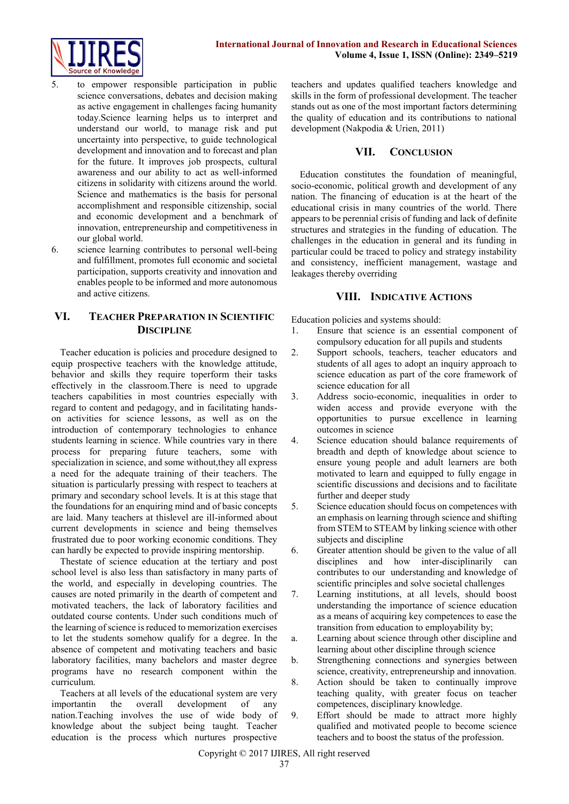

- 5. to empower responsible participation in public science conversations, debates and decision making as active engagement in challenges facing humanity today.Science learning helps us to interpret and understand our world, to manage risk and put uncertainty into perspective, to guide technological development and innovation and to forecast and plan for the future. It improves job prospects, cultural awareness and our ability to act as well-informed citizens in solidarity with citizens around the world. Science and mathematics is the basis for personal accomplishment and responsible citizenship, social and economic development and a benchmark of innovation, entrepreneurship and competitiveness in our global world.
- 6. science learning contributes to personal well-being and fulfillment, promotes full economic and societal participation, supports creativity and innovation and enables people to be informed and more autonomous and active citizens.

# **VI. TEACHER PREPARATION IN SCIENTIFIC DISCIPLINE**

Teacher education is policies and procedure designed to equip prospective teachers with the knowledge attitude, behavior and skills they require toperform their tasks effectively in the classroom.There is need to upgrade teachers capabilities in most countries especially with regard to content and pedagogy, and in facilitating handson activities for science lessons, as well as on the introduction of contemporary technologies to enhance students learning in science. While countries vary in there process for preparing future teachers, some with specialization in science, and some without, they all express a need for the adequate training of their teachers. The situation is particularly pressing with respect to teachers at primary and secondary school levels. It is at this stage that the foundations for an enquiring mind and of basic concepts are laid. Many teachers at thislevel are ill-informed about current developments in science and being themselves frustrated due to poor working economic conditions. They can hardly be expected to provide inspiring mentorship.

Thestate of science education at the tertiary and post school level is also less than satisfactory in many parts of the world, and especially in developing countries. The causes are noted primarily in the dearth of competent and motivated teachers, the lack of laboratory facilities and outdated course contents. Under such conditions much of the learning of science is reduced to memorization exercises to let the students somehow qualify for a degree. In the absence of competent and motivating teachers and basic laboratory facilities, many bachelors and master degree programs have no research component within the curriculum.

Teachers at all levels of the educational system are very importantin the overall development of any nation.Teaching involves the use of wide body of knowledge about the subject being taught. Teacher education is the process which nurtures prospective

teachers and updates qualified teachers knowledge and skills in the form of professional development. The teacher stands out as one of the most important factors determining the quality of education and its contributions to national development (Nakpodia & Urien, 2011)

#### **VII. CONCLUSION**

Education constitutes the foundation of meaningful, socio-economic, political growth and development of any nation. The financing of education is at the heart of the educational crisis in many countries of the world. There appears to be perennial crisis of funding and lack of definite structures and strategies in the funding of education. The challenges in the education in general and its funding in particular could be traced to policy and strategy instability and consistency, inefficient management, wastage and leakages thereby overriding

# **VIII. INDICATIVE ACTIONS**

Education policies and systems should:

- 1. Ensure that science is an essential component of compulsory education for all pupils and students
- 2. Support schools, teachers, teacher educators and students of all ages to adopt an inquiry approach to science education as part of the core framework of science education for all
- 3. Address socio-economic, inequalities in order to widen access and provide everyone with the opportunities to pursue excellence in learning outcomes in science
- 4. Science education should balance requirements of breadth and depth of knowledge about science to ensure young people and adult learners are both motivated to learn and equipped to fully engage in scientific discussions and decisions and to facilitate further and deeper study
- 5. Science education should focus on competences with an emphasis on learning through science and shifting from STEM to STEAM by linking science with other subjects and discipline
- 6. Greater attention should be given to the value of all disciplines and how inter-disciplinarily can contributes to our understanding and knowledge of scientific principles and solve societal challenges
- 7. Learning institutions, at all levels, should boost understanding the importance of science education as a means of acquiring key competences to ease the transition from education to employability by;
- a. Learning about science through other discipline and learning about other discipline through science
- b. Strengthening connections and synergies between science, creativity, entrepreneurship and innovation.
- 8. Action should be taken to continually improve teaching quality, with greater focus on teacher competences, disciplinary knowledge.
- 9. Effort should be made to attract more highly qualified and motivated people to become science teachers and to boost the status of the profession.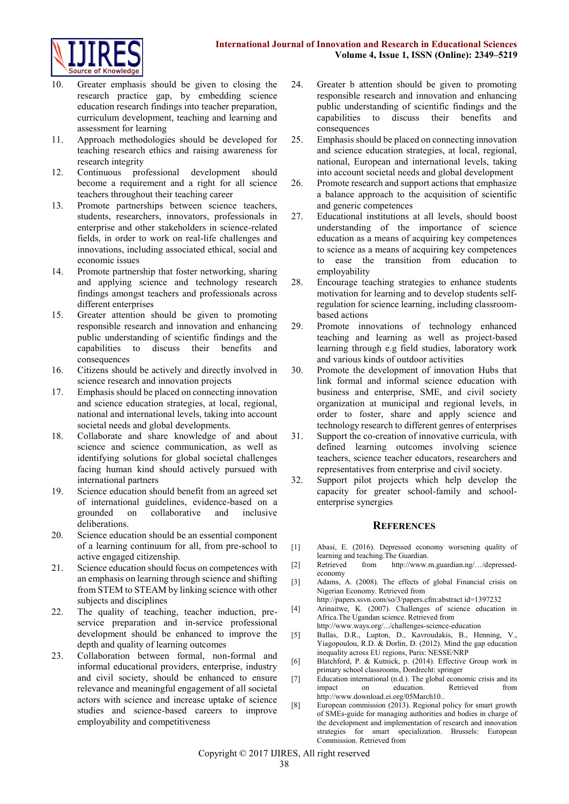

- 10. Greater emphasis should be given to closing the research practice gap, by embedding science education research findings into teacher preparation, curriculum development, teaching and learning and assessment for learning
- 11. Approach methodologies should be developed for teaching research ethics and raising awareness for research integrity
- 12. Continuous professional development should become a requirement and a right for all science teachers throughout their teaching career
- 13. Promote partnerships between science teachers, students, researchers, innovators, professionals in enterprise and other stakeholders in science-related fields, in order to work on real-life challenges and innovations, including associated ethical, social and economic issues
- 14. Promote partnership that foster networking, sharing and applying science and technology research findings amongst teachers and professionals across different enterprises
- 15. Greater attention should be given to promoting responsible research and innovation and enhancing public understanding of scientific findings and the capabilities to discuss their benefits and consequences
- 16. Citizens should be actively and directly involved in science research and innovation projects
- 17. Emphasis should be placed on connecting innovation and science education strategies, at local, regional, national and international levels, taking into account societal needs and global developments.
- 18. Collaborate and share knowledge of and about science and science communication, as well as identifying solutions for global societal challenges facing human kind should actively pursued with international partners
- 19. Science education should benefit from an agreed set of international guidelines, evidence-based on a grounded on collaborative and inclusive deliberations.
- 20. Science education should be an essential component of a learning continuum for all, from pre-school to active engaged citizenship.
- 21. Science education should focus on competences with an emphasis on learning through science and shifting from STEM to STEAM by linking science with other subjects and disciplines
- 22. The quality of teaching, teacher induction, preservice preparation and in-service professional development should be enhanced to improve the depth and quality of learning outcomes
- 23. Collaboration between formal, non-formal and informal educational providers, enterprise, industry and civil society, should be enhanced to ensure relevance and meaningful engagement of all societal actors with science and increase uptake of science studies and science-based careers to improve employability and competitiveness
- 24. Greater b attention should be given to promoting responsible research and innovation and enhancing public understanding of scientific findings and the capabilities to discuss their benefits and consequences
- 25. Emphasis should be placed on connecting innovation and science education strategies, at local, regional, national, European and international levels, taking into account societal needs and global development
- 26. Promote research and support actions that emphasize a balance approach to the acquisition of scientific and generic competences
- 27. Educational institutions at all levels, should boost understanding of the importance of science education as a means of acquiring key competences to science as a means of acquiring key competences to ease the transition from education to employability
- 28. Encourage teaching strategies to enhance students motivation for learning and to develop students selfregulation for science learning, including classroombased actions
- 29. Promote innovations of technology enhanced teaching and learning as well as project-based learning through e.g field studies, laboratory work and various kinds of outdoor activities
- 30. Promote the development of innovation Hubs that link formal and informal science education with business and enterprise, SME, and civil society organization at municipal and regional levels, in order to foster, share and apply science and technology research to different genres of enterprises
- 31. Support the co-creation of innovative curricula, with defined learning outcomes involving science teachers, science teacher educators, researchers and representatives from enterprise and civil society.
- 32. Support pilot projects which help develop the capacity for greater school-family and schoolenterprise synergies

#### **REFERENCES**

- [1] Abasi, E. (2016). Depressed economy worsening quality of learning and teaching.The Guardian.
- [2] Retrieved from http://www.m.guardian.ng/…/depressedeconomy
- [3] Adams, A. (2008). The effects of global Financial crisis on Nigerian Economy. Retrieved from
- <http://papers.ssvn.com/so/3/papers.cfm:abstract> id=1397232 [4] Arinaitwe, K. (2007). Challenges of science education in Africa.The Ugandan science. Retrieved from
- <http://www.ways.org/.../challenges-science-education>
- [5] Ballas, D.R., Lupton, D., Kavroudakis, B., Henning, V., Yiagopoulou, R.D. & Dorlin, D. (2012). Mind the gap education inequality across EU regions, Paris: NESSE/NRP
- [6] Blatchford, P. & Kutnick, p. (2014). Effective Group work in primary school classrooms, Dordrecht: springer
- [7] Education international (n.d.). The global economic crisis and its impact on education. Retrieved from [http://www.download.ei.org/05March10..](http://www.download.ei.org/05March10)
- [8] European commission (2013). Regional policy for smart growth of SMEs-guide for managing authorities and bodies in charge of the development and implementation of research and innovation strategies for smart specialization. Brussels: European Commission. Retrieved from

Copyright © 2017 IJIRES, All right reserved